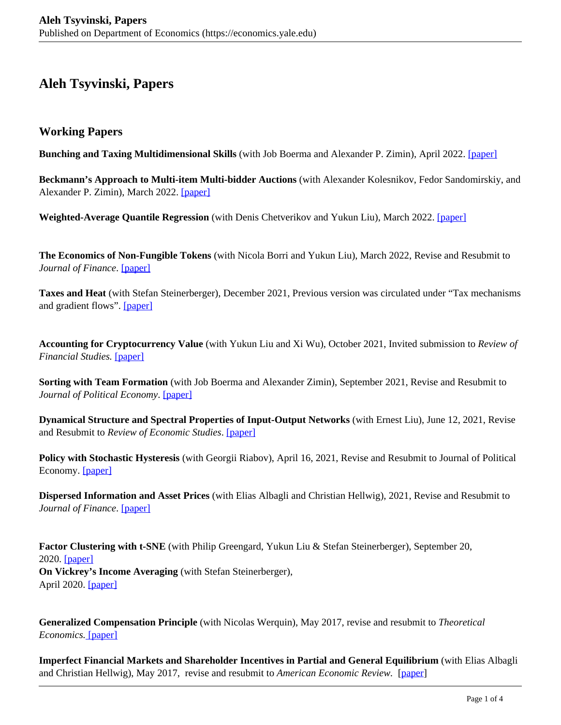## **Aleh Tsyvinski, Papers**

## **Working Papers**

**Bunching and Taxing Multidimensional Skills** (with Job Boerma and Alexander P. Zimin), April 2022. [\[paper\]](https://economics.yale.edu/sites/default/files/files/Faculty/Tsyvinski/bunching_taxing.pdf)

**Beckmann's Approach to Multi-item Multi-bidder Auctions** (with Alexander Kolesnikov, Fedor Sandomirskiy, and Alexander P. Zimin), March 2022. [paper]

**Weighted-Average Quantile Regression** (with Denis Chetverikov and Yukun Liu), March 2022. [paper]

**The Economics of Non-Fungible Tokens** (with Nicola Borri and Yukun Liu), March 2022, Revise and Resubmit to *Journal of Finance*. [paper]

**Taxes and Heat** (with Stefan Steinerberger), December 2021, Previous version was circulated under "Tax mechanisms and gradient flows". [paper]

**Accounting for Cryptocurrency Value** (with Yukun Liu and Xi Wu), October 2021, Invited submission to *Review of Financial Studies.* [paper]

**Sorting with Team Formation** (with Job Boerma and Alexander Zimin), September 2021, Revise and Resubmit to *Journal of Political Economy*. [paper]

**Dynamical Structure and Spectral Properties of Input-Output Networks** (with Ernest Liu), June 12, 2021, Revise and Resubmit to *Review of Economic Studies*. [paper]

**Policy with Stochastic Hysteresis** (with Georgii Riabov), April 16, 2021, Revise and Resubmit to Journal of Political Economy. [paper]

**Dispersed Information and Asset Prices** (with Elias Albagli and Christian Hellwig), 2021, Revise and Resubmit to *Journal of Finance*. [paper]

**Factor Clustering with t-SNE** (with Philip Greengard, Yukun Liu & Stefan Steinerberger), September 20, 2020. [paper] **On Vickrey's Income Averaging** (with Stefan Steinerberger), April 2020. [paper]

**Generalized Compensation Principle** (with Nicolas Werquin), May 2017, revise and resubmit to *Theoretical Economics.* [paper]

**Imperfect Financial Markets and Shareholder Incentives in Partial and General Equilibrium** (with Elias Albagli and Christian Hellwig), May 2017, revise and resubmit to *American Economic Review.* [paper]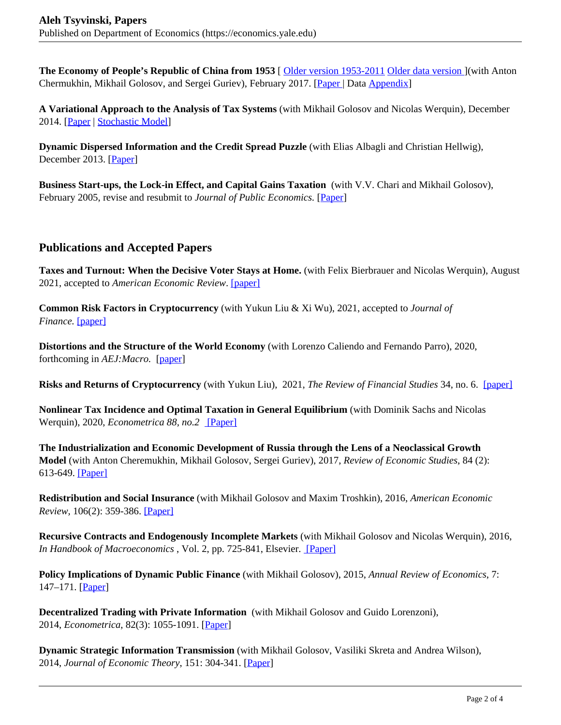**The Economy of People's Republic of China from 1953** [ Older version 1953-2011 Older data version ](with Anton Chermukhin, Mikhail Golosov, and Sergei Guriev), February 2017. [Paper | Data Appendix]

**A Variational Approach to the Analysis of Tax Systems** (with Mikhail Golosov and Nicolas Werquin), December 2014. [Paper | Stochastic Model]

**Dynamic Dispersed Information and the Credit Spread Puzzle** (with Elias Albagli and Christian Hellwig), December 2013. [Paper]

**Business Start-ups, the Lock-in Effect, and Capital Gains Taxation** (with V.V. Chari and Mikhail Golosov), February 2005, revise and resubmit to *Journal of Public Economics.* [Paper]

## **Publications and Accepted Papers**

**Taxes and Turnout: When the Decisive Voter Stays at Home.** (with Felix Bierbrauer and Nicolas Werquin), August 2021, accepted to *American Economic Review*. [paper]

**Common Risk Factors in Cryptocurrency** (with Yukun Liu & Xi Wu), 2021, accepted to *Journal of Finance.* [paper]

**Distortions and the Structure of the World Economy** (with Lorenzo Caliendo and Fernando Parro), 2020, forthcoming in *AEJ:Macro.* [paper]

**Risks and Returns of Cryptocurrency** (with Yukun Liu), 2021, *The Review of Financial Studies* 34, no. 6. [paper]

**Nonlinear Tax Incidence and Optimal Taxation in General Equilibrium** (with Dominik Sachs and Nicolas Werquin), 2020, *Econometrica 88, no.2* [Paper]

**The Industrialization and Economic Development of Russia through the Lens of a Neoclassical Growth Model** (with Anton Cheremukhin, Mikhail Golosov, Sergei Guriev), 2017, *Review of Economic Studies*, 84 (2): 613-649. [Paper]

**Redistribution and Social Insurance** (with Mikhail Golosov and Maxim Troshkin), 2016, *American Economic Review,* 106(2): 359-386. [Paper]

**Recursive Contracts and Endogenously Incomplete Markets** (with Mikhail Golosov and Nicolas Werquin), 2016, *In Handbook of Macroeconomics*, Vol. 2, pp. 725-841, Elsevier. [Paper]

**Policy Implications of Dynamic Public Finance** (with Mikhail Golosov), 2015, *Annual Review of Economics*, 7: 147–171. [Paper]

**Decentralized Trading with Private Information** (with Mikhail Golosov and Guido Lorenzoni), 2014, *Econometrica*, 82(3): 1055-1091. [Paper]

**Dynamic Strategic Information Transmission** (with Mikhail Golosov, Vasiliki Skreta and Andrea Wilson), 2014, *Journal of Economic Theory*, 151: 304-341. [Paper]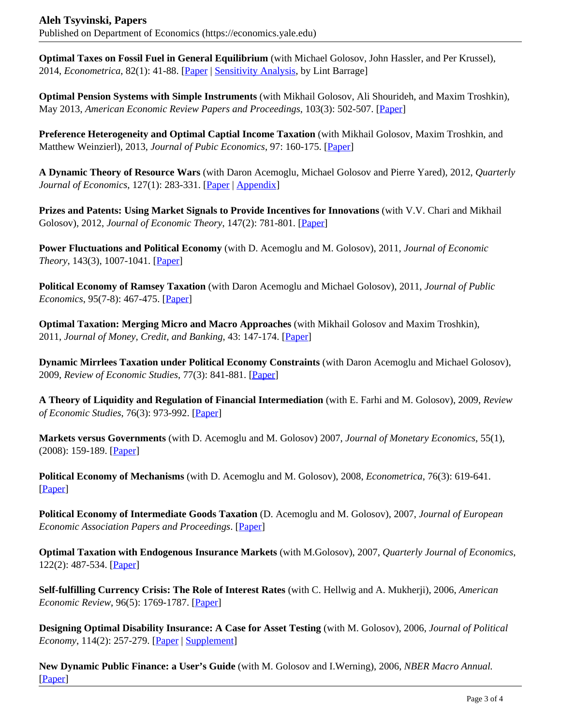**Optimal Taxes on Fossil Fuel in General Equilibrium** (with Michael Golosov, John Hassler, and Per Krussel), 2014, *Econometrica*, 82(1): 41-88. [Paper | Sensitivity Analysis, by Lint Barrage]

**Optimal Pension Systems with Simple Instruments** (with Mikhail Golosov, Ali Shourideh, and Maxim Troshkin), May 2013, *American Economic Review Papers and Proceedings*, 103(3): 502-507. [Paper]

**Preference Heterogeneity and Optimal Captial Income Taxation** (with Mikhail Golosov, Maxim Troshkin, and Matthew Weinzierl), 2013, *Journal of Pubic Economics*, 97: 160-175. [Paper]

**A Dynamic Theory of Resource Wars** (with Daron Acemoglu, Michael Golosov and Pierre Yared), 2012, *Quarterly Journal of Economics*, 127(1): 283-331. [Paper | Appendix]

**Prizes and Patents: Using Market Signals to Provide Incentives for Innovations** (with V.V. Chari and Mikhail Golosov), 2012, *Journal of Economic Theory*, 147(2): 781-801. [Paper]

**Power Fluctuations and Political Economy** (with D. Acemoglu and M. Golosov), 2011, *Journal of Economic Theory*, 143(3), 1007-1041. [Paper]

**Political Economy of Ramsey Taxation** (with Daron Acemoglu and Michael Golosov), 2011, *Journal of Public Economics*, 95(7-8): 467-475. [Paper]

**Optimal Taxation: Merging Micro and Macro Approaches** (with Mikhail Golosov and Maxim Troshkin), 2011, *Journal of Money, Credit, and Banking*, 43: 147-174. [Paper]

**Dynamic Mirrlees Taxation under Political Economy Constraints** (with Daron Acemoglu and Michael Golosov), 2009, *Review of Economic Studies*, 77(3): 841-881. [Paper]

**A Theory of Liquidity and Regulation of Financial Intermediation** (with E. Farhi and M. Golosov), 2009, *Review of Economic Studies*, 76(3): 973-992. [Paper]

**Markets versus Governments** (with D. Acemoglu and M. Golosov) 2007, *Journal of Monetary Economics*, 55(1), (2008): 159-189. [Paper]

**Political Economy of Mechanisms** (with D. Acemoglu and M. Golosov), 2008, *Econometrica*, 76(3): 619-641. [Paper]

**Political Economy of Intermediate Goods Taxation** (D. Acemoglu and M. Golosov), 2007, *Journal of European Economic Association Papers and Proceedings*. [Paper]

**Optimal Taxation with Endogenous Insurance Markets** (with M.Golosov), 2007, *Quarterly Journal of Economics*, 122(2): 487-534. [Paper]

**Self-fulfilling Currency Crisis: The Role of Interest Rates** (with C. Hellwig and A. Mukherji), 2006, *American Economic Review*, 96(5): 1769-1787. [Paper]

**Designing Optimal Disability Insurance: A Case for Asset Testing** (with M. Golosov), 2006, *Journal of Political Economy*, 114(2): 257-279. [Paper | Supplement]

**New Dynamic Public Finance: a User's Guide** (with M. Golosov and I.Werning), 2006, *NBER Macro Annual.* [Paper]